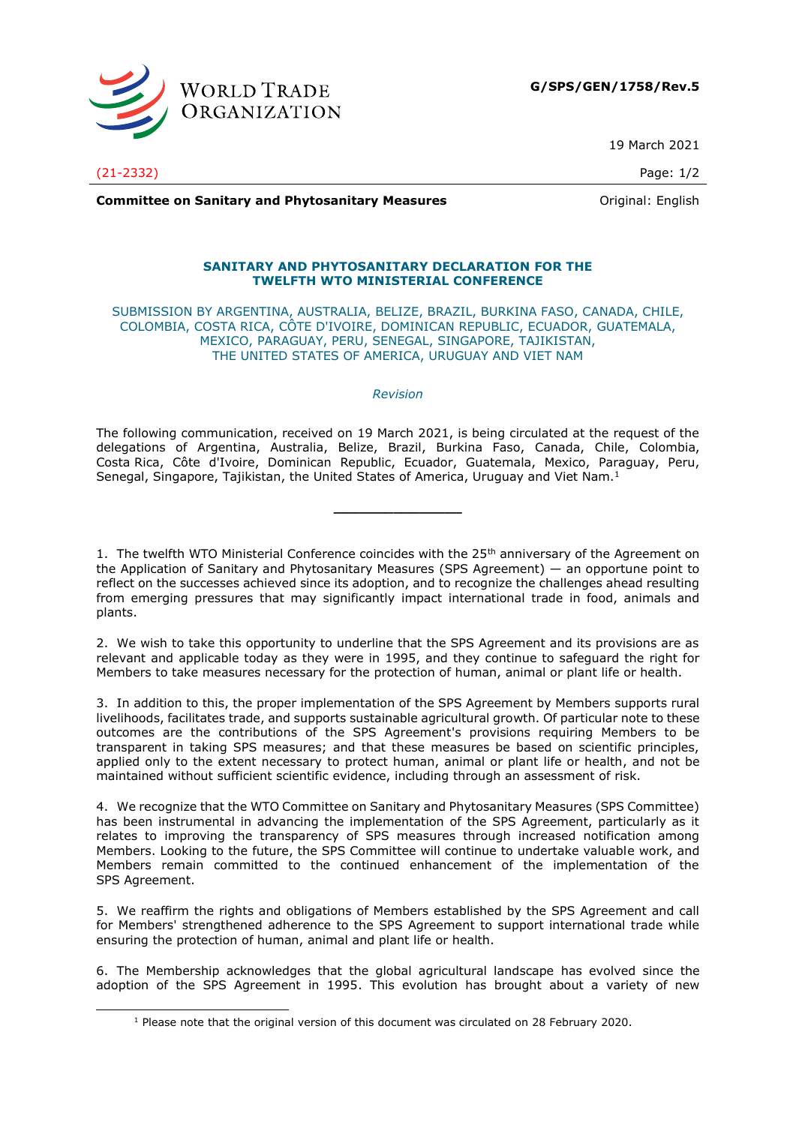

19 March 2021

(21-2332) Page: 1/2

**Committee on Sanitary and Phytosanitary Measures Committee on Sanitary and Phytosanitary Measures Committee And American** 

## **SANITARY AND PHYTOSANITARY DECLARATION FOR THE TWELFTH WTO MINISTERIAL CONFERENCE**

SUBMISSION BY ARGENTINA, AUSTRALIA, BELIZE, BRAZIL, BURKINA FASO, CANADA, CHILE, COLOMBIA, COSTA RICA, CÔTE D'IVOIRE, DOMINICAN REPUBLIC, ECUADOR, GUATEMALA, MEXICO, PARAGUAY, PERU, SENEGAL, SINGAPORE, TAJIKISTAN, THE UNITED STATES OF AMERICA, URUGUAY AND VIET NAM

## *Revision*

The following communication, received on 19 March 2021, is being circulated at the request of the delegations of Argentina, Australia, Belize, Brazil, Burkina Faso, Canada, Chile, Colombia, Costa Rica, Côte d'Ivoire, Dominican Republic, Ecuador, Guatemala, Mexico, Paraguay, Peru, Senegal, Singapore, Tajikistan, the United States of America, Uruguay and Viet Nam.<sup>1</sup>

**\_\_\_\_\_\_\_\_\_\_\_\_\_\_\_**

1. The twelfth WTO Ministerial Conference coincides with the  $25<sup>th</sup>$  anniversary of the Agreement on the Application of Sanitary and Phytosanitary Measures (SPS Agreement) — an opportune point to reflect on the successes achieved since its adoption, and to recognize the challenges ahead resulting from emerging pressures that may significantly impact international trade in food, animals and plants.

2. We wish to take this opportunity to underline that the SPS Agreement and its provisions are as relevant and applicable today as they were in 1995, and they continue to safeguard the right for Members to take measures necessary for the protection of human, animal or plant life or health.

3. In addition to this, the proper implementation of the SPS Agreement by Members supports rural livelihoods, facilitates trade, and supports sustainable agricultural growth. Of particular note to these outcomes are the contributions of the SPS Agreement's provisions requiring Members to be transparent in taking SPS measures; and that these measures be based on scientific principles, applied only to the extent necessary to protect human, animal or plant life or health, and not be maintained without sufficient scientific evidence, including through an assessment of risk.

4. We recognize that the WTO Committee on Sanitary and Phytosanitary Measures (SPS Committee) has been instrumental in advancing the implementation of the SPS Agreement, particularly as it relates to improving the transparency of SPS measures through increased notification among Members. Looking to the future, the SPS Committee will continue to undertake valuable work, and Members remain committed to the continued enhancement of the implementation of the SPS Agreement.

5. We reaffirm the rights and obligations of Members established by the SPS Agreement and call for Members' strengthened adherence to the SPS Agreement to support international trade while ensuring the protection of human, animal and plant life or health.

6. The Membership acknowledges that the global agricultural landscape has evolved since the adoption of the SPS Agreement in 1995. This evolution has brought about a variety of new

<sup>1</sup> Please note that the original version of this document was circulated on 28 February 2020.